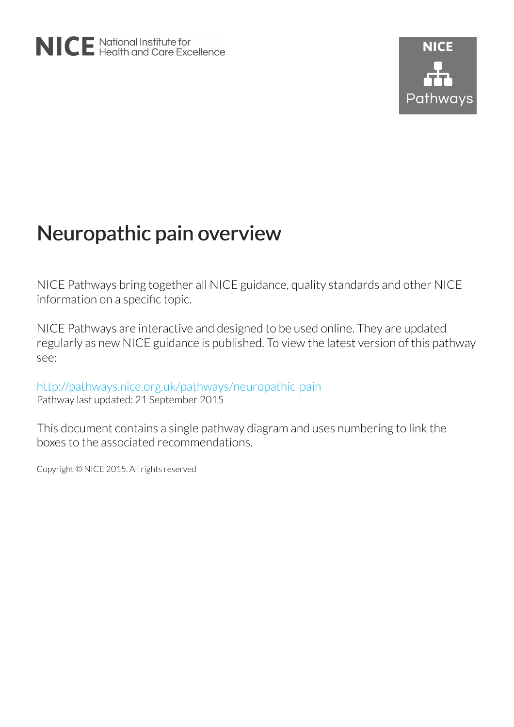# Neuropathic pain overview

NICE Pathways bring together all NICE guidance, quality standards and other NICE information on a specific topic.

NICE Pathways are interactive and designed to be used online. They are updated regularly as new NICE guidance is published. To view the latest version of this pathway see:

<http://pathways.nice.org.uk/pathways/neuropathic-pain> Pathway last updated: 21 September 2015

This document contains a single pathway diagram and uses numbering to link the boxes to the associated recommendations.

Copyright © NICE 2015. All rights reserved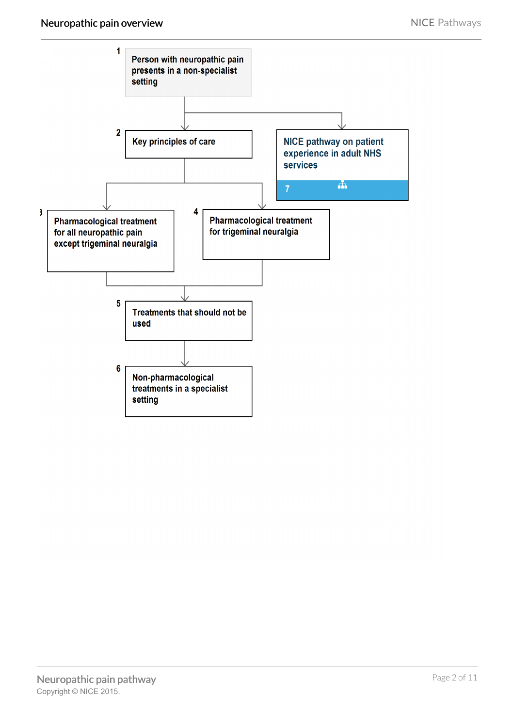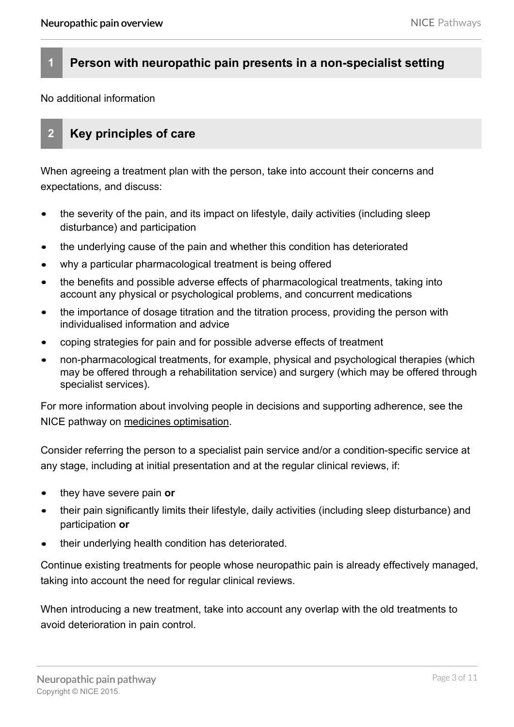### **1 Person with neuropathic pain presents in a non-specialist setting**

No additional information

## **2 Key principles of care**

When agreeing a treatment plan with the person, take into account their concerns and expectations, and discuss:

- the severity of the pain, and its impact on lifestyle, daily activities (including sleep disturbance) and [participation](#page-8-0)
- the underlying cause of the pain and whether this condition has deteriorated  $\bullet$
- why a particular pharmacological treatment is being offered
- the benefits and possible adverse effects of pharmacological treatments, taking into account any physical or psychological problems, and concurrent medications
- the importance of dosage titration and the titration process, providing the person with individualised information and advice
- coping strategies for pain and for possible adverse effects of treatment
- non-pharmacological treatments, for example, physical and psychological therapies (which may be offered through a rehabilitation service) and surgery (which may be offered through specialist services).

For more information about involving people in decisions and supporting adherence, see the NICE pathway on [medicines optimisation](http://pathways.nice.org.uk/pathways/medicines-optimisation).

Consider referring the person to a [specialist pain service](#page-8-1) and/or a [condition-specific service](#page-8-2) at any stage, including at initial presentation and at the regular clinical reviews, if:

- they have severe pain **or**
- their pain significantly limits their lifestyle, daily activities (including sleep disturbance) and [participation](#page-8-0) **or**
- their underlying health condition has deteriorated.

Continue existing treatments for people whose neuropathic pain is already effectively managed, taking into account the need for regular clinical reviews.

When introducing a new treatment, take into account any overlap with the old treatments to avoid deterioration in pain control.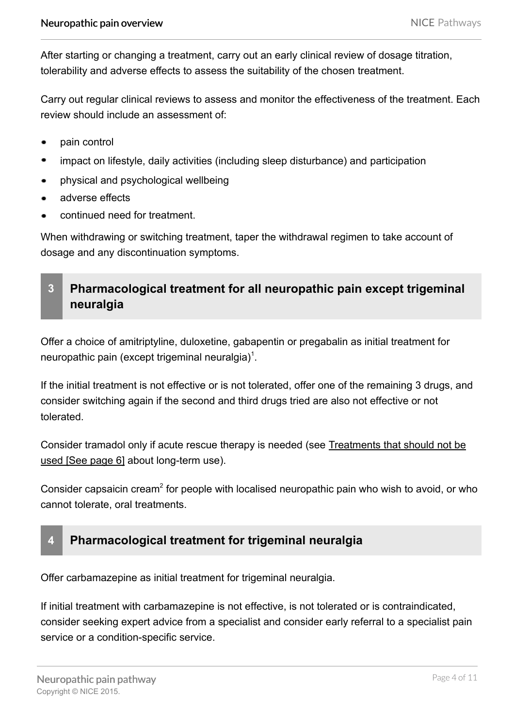After starting or changing a treatment, carry out an early clinical review of dosage titration, tolerability and adverse effects to assess the suitability of the chosen treatment.

Carry out regular clinical reviews to assess and monitor the effectiveness of the treatment. Each review should include an assessment of:

- pain control  $\bullet$
- impact on lifestyle, daily activities (including sleep disturbance) and [participation](#page-8-0)  $\bullet$
- physical and psychological wellbeing
- adverse effects  $\bullet$
- continued need for treatment.

When withdrawing or switching treatment, taper the withdrawal regimen to take account of dosage and any discontinuation symptoms.

## <span id="page-3-0"></span>**3 Pharmacological treatment for all neuropathic pain except trigeminal neuralgia**

Offer a choice of amitriptyline, duloxetine, gabapentin or pregabalin as initial treatment for neuropathic pain (except trigeminal neuralgia)<sup>1</sup>.

If the initial treatment is not effective or is not tolerated, offer one of the remaining 3 drugs, and consider switching again if the second and third drugs tried are also not effective or not tolerated.

Consider tramadol only if acute rescue therapy is needed (see [Treatments that should not be](#page-5-0) used [\[See page 6\]](#page-5-0) about long-term use).

Consider capsaicin cream<sup>2</sup> for people with localised neuropathic pain who wish to avoid, or who cannot tolerate, oral treatments.

## **4 Pharmacological treatment for trigeminal neuralgia**

Offer carbamazepine as initial treatment for trigeminal neuralgia.

If initial treatment with carbamazepine is not effective, is not tolerated or is contraindicated, consider seeking expert advice from a specialist and consider early referral to a [specialist pain](#page-8-1) [service](#page-8-1) or a [condition-specific service.](#page-8-2)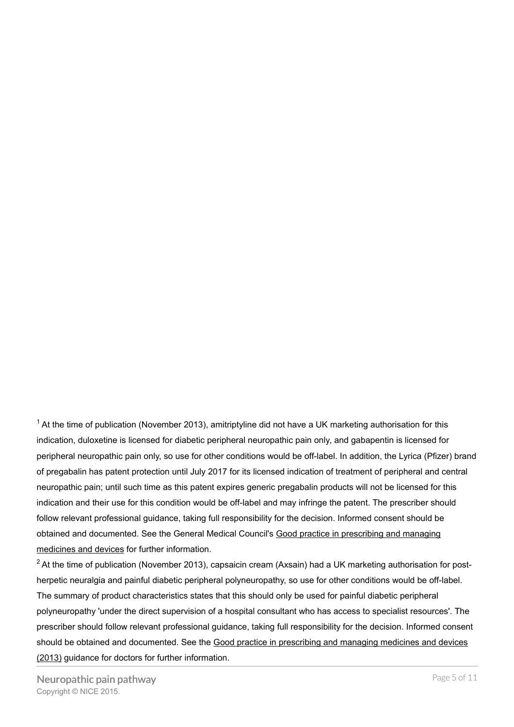$1$  At the time of publication (November 2013), amitriptyline did not have a UK marketing authorisation for this indication, duloxetine is licensed for diabetic peripheral neuropathic pain only, and gabapentin is licensed for peripheral neuropathic pain only, so use for other conditions would be off-label. In addition, the Lyrica (Pfizer) brand of pregabalin has patent protection until July 2017 for its licensed indication of treatment of peripheral and central neuropathic pain; until such time as this patent expires generic pregabalin products will not be licensed for this indication and their use for this condition would be off-label and may infringe the patent. The prescriber should follow relevant professional guidance, taking full responsibility for the decision. Informed consent should be obtained and documented. See the General Medical Council's [Good practice in prescribing and managing](http://www.gmc-uk.org/guidance/ethical_guidance/14316.asp) [medicines and devices](http://www.gmc-uk.org/guidance/ethical_guidance/14316.asp) for further information.

 $2$ At the time of publication (November 2013), capsaicin cream (Axsain) had a UK marketing authorisation for postherpetic neuralgia and painful diabetic peripheral polyneuropathy, so use for other conditions would be off-label. The summary of product characteristics states that this should only be used for painful diabetic peripheral polyneuropathy 'under the direct supervision of a hospital consultant who has access to specialist resources'. The prescriber should follow relevant professional guidance, taking full responsibility for the decision. Informed consent should be obtained and documented. See the [Good practice in prescribing and managing medicines and devices](http://www.gmc-uk.org/guidance/ethical_guidance/14316.asp) [\(2013\)](http://www.gmc-uk.org/guidance/ethical_guidance/14316.asp) guidance for doctors for further information.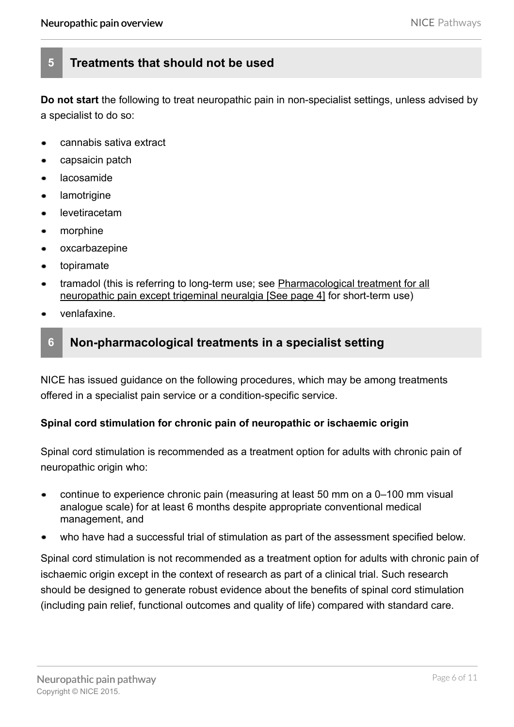## <span id="page-5-0"></span>**5 Treatments that should not be used**

**Do not start** the following to treat neuropathic pain in [non-specialist settings](#page-8-3), unless advised by a specialist to do so:

- cannabis sativa extract
- capsaicin patch  $\bullet$
- lacosamide
- lamotrigine
- levetiracetam
- morphine  $\bullet$
- oxcarbazepine  $\bullet$
- topiramate
- tramadol (this is referring to long-term use; see [Pharmacological treatment for all](#page-3-0) [neuropathic pain except trigeminal neuralgia](#page-3-0) [See page 4] for short-term use)
- venlafaxine.

## **6 Non-pharmacological treatments in a specialist setting**

NICE has issued guidance on the following procedures, which may be among treatments offered in a [specialist pain service](#page-8-1) or a [condition-specific service.](#page-8-2)

#### **Spinal cord stimulation for chronic pain of neuropathic or ischaemic origin**

Spinal cord stimulation is recommended as a treatment option for adults with chronic pain of neuropathic origin who:

- continue to experience chronic pain (measuring at least 50 mm on a 0–100 mm visual analogue scale) for at least 6 months despite appropriate conventional medical management, and
- who have had a successful trial of stimulation as part of the assessment specified below.

Spinal cord stimulation is not recommended as a treatment option for adults with chronic pain of ischaemic origin except in the context of research as part of a clinical trial. Such research should be designed to generate robust evidence about the benefits of spinal cord stimulation (including pain relief, functional outcomes and quality of life) compared with standard care.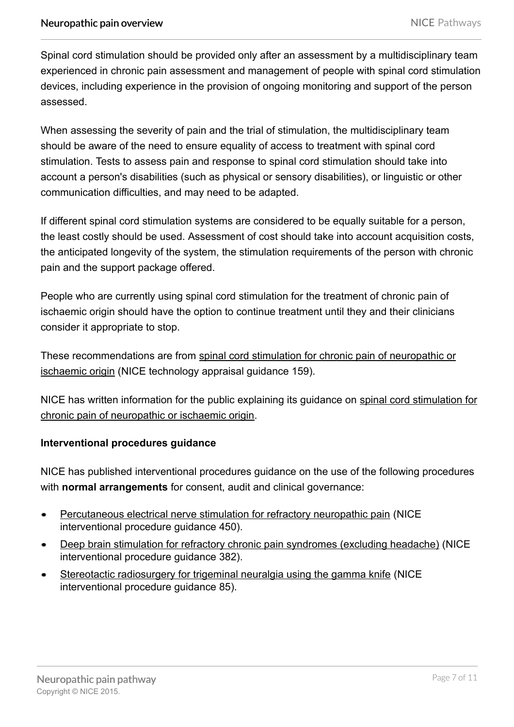Spinal cord stimulation should be provided only after an assessment by a multidisciplinary team experienced in chronic pain assessment and management of people with spinal cord stimulation devices, including experience in the provision of ongoing monitoring and support of the person assessed.

When assessing the severity of pain and the trial of stimulation, the multidisciplinary team should be aware of the need to ensure equality of access to treatment with spinal cord stimulation. Tests to assess pain and response to spinal cord stimulation should take into account a person's disabilities (such as physical or sensory disabilities), or linguistic or other communication difficulties, and may need to be adapted.

If different spinal cord stimulation systems are considered to be equally suitable for a person, the least costly should be used. Assessment of cost should take into account acquisition costs, the anticipated longevity of the system, the stimulation requirements of the person with chronic pain and the support package offered.

People who are currently using spinal cord stimulation for the treatment of chronic pain of ischaemic origin should have the option to continue treatment until they and their clinicians consider it appropriate to stop.

These recommendations are from [spinal cord stimulation for chronic pain of neuropathic or](http://www.nice.org.uk/guidance/TA159) [ischaemic origin](http://www.nice.org.uk/guidance/TA159) (NICE technology appraisal guidance 159).

NICE has written information for the public explaining its guidance on [spinal cord stimulation for](http://www.nice.org.uk/guidance/TA159/InformationForPublic) [chronic pain of neuropathic or ischaemic origin](http://www.nice.org.uk/guidance/TA159/InformationForPublic).

#### **Interventional procedures guidance**

NICE has published interventional procedures guidance on the use of the following procedures with **normal arrangements** for consent, audit and clinical governance:

- [Percutaneous electrical nerve stimulation for refractory neuropathic pain](http://www.nice.org.uk/guidance/IPG450) (NICE  $\bullet$ interventional procedure guidance 450).
- [Deep brain stimulation for refractory chronic pain syndromes \(excluding headache\)](http://www.nice.org.uk/guidance/IPG382) (NICE interventional procedure guidance 382).
- [Stereotactic radiosurgery for trigeminal neuralgia using the gamma knife](http://www.nice.org.uk/guidance/ipg85) (NICE interventional procedure guidance 85).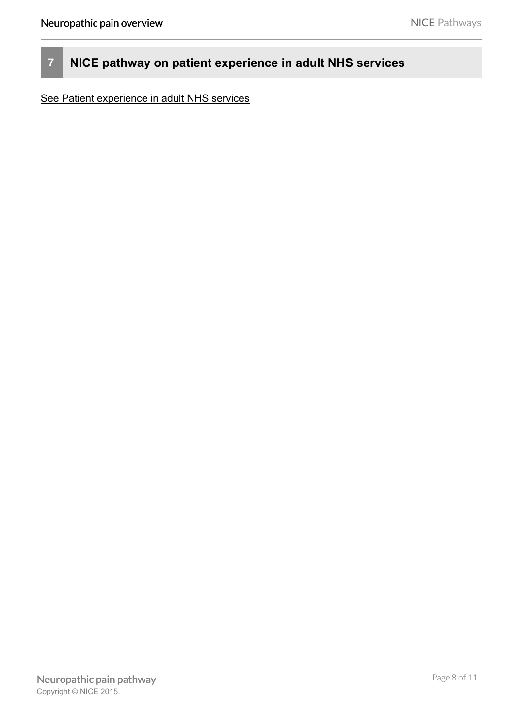# **7 NICE pathway on patient experience in adult NHS services**

[See Patient experience in adult NHS services](http://pathways.nice.org.uk/pathways/patient-experience-in-adult-nhs-services)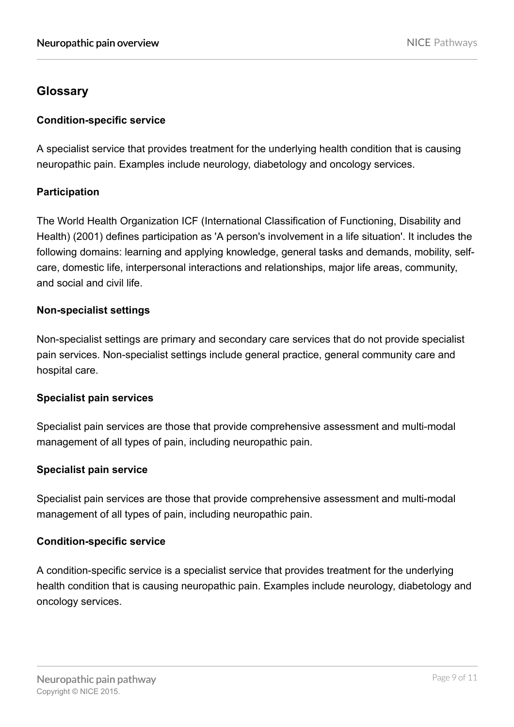## **Glossary**

#### **Condition-specific service**

<span id="page-8-2"></span>A specialist service that provides treatment for the underlying health condition that is causing neuropathic pain. Examples include neurology, diabetology and oncology services.

#### **Participation**

<span id="page-8-0"></span>The World Health Organization ICF (International Classification of Functioning, Disability and Health) (2001) defines participation as 'A person's involvement in a life situation'. It includes the following domains: learning and applying knowledge, general tasks and demands, mobility, selfcare, domestic life, interpersonal interactions and relationships, major life areas, community, and social and civil life.

#### **Non-specialist settings**

<span id="page-8-3"></span>Non-specialist settings are primary and secondary care services that do not provide specialist pain services. Non-specialist settings include general practice, general community care and hospital care.

#### **Specialist pain services**

Specialist pain services are those that provide comprehensive assessment and multi-modal management of all types of pain, including neuropathic pain.

#### **Specialist pain service**

<span id="page-8-1"></span>Specialist pain services are those that provide comprehensive assessment and multi-modal management of all types of pain, including neuropathic pain.

#### **Condition-specific service**

A condition-specific service is a specialist service that provides treatment for the underlying health condition that is causing neuropathic pain. Examples include neurology, diabetology and oncology services.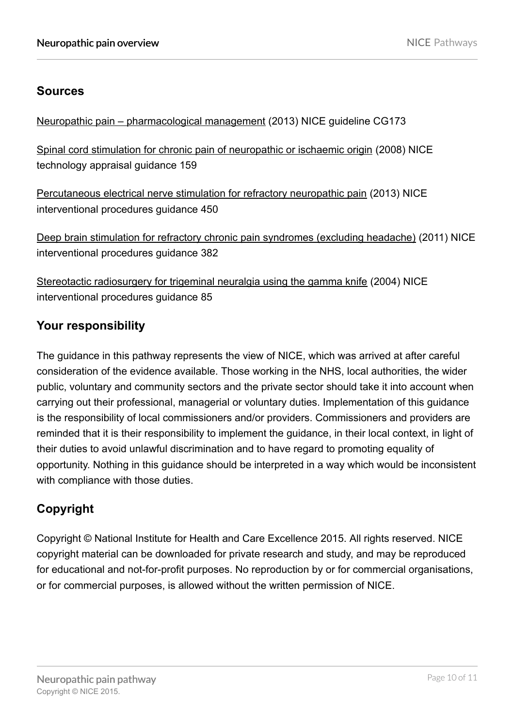## **Sources**

[Neuropathic pain – pharmacological management](http://www.nice.org.uk/guidance/CG173) (2013) NICE guideline CG173

[Spinal cord stimulation for chronic pain of neuropathic or ischaemic origin](http://www.nice.org.uk/guidance/TA159) (2008) NICE technology appraisal guidance 159

[Percutaneous electrical nerve stimulation for refractory neuropathic pain](http://www.nice.org.uk/guidance/IPG450) (2013) NICE interventional procedures guidance 450

[Deep brain stimulation for refractory chronic pain syndromes \(excluding headache\)](http://www.nice.org.uk/guidance/IPG382) (2011) NICE interventional procedures guidance 382

[Stereotactic radiosurgery for trigeminal neuralgia using the gamma knife](http://www.nice.org.uk/guidance/IPG85) (2004) NICE interventional procedures guidance 85

## **Your responsibility**

The guidance in this pathway represents the view of NICE, which was arrived at after careful consideration of the evidence available. Those working in the NHS, local authorities, the wider public, voluntary and community sectors and the private sector should take it into account when carrying out their professional, managerial or voluntary duties. Implementation of this guidance is the responsibility of local commissioners and/or providers. Commissioners and providers are reminded that it is their responsibility to implement the guidance, in their local context, in light of their duties to avoid unlawful discrimination and to have regard to promoting equality of opportunity. Nothing in this guidance should be interpreted in a way which would be inconsistent with compliance with those duties.

# **Copyright**

Copyright © National Institute for Health and Care Excellence 2015. All rights reserved. NICE copyright material can be downloaded for private research and study, and may be reproduced for educational and not-for-profit purposes. No reproduction by or for commercial organisations, or for commercial purposes, is allowed without the written permission of NICE.